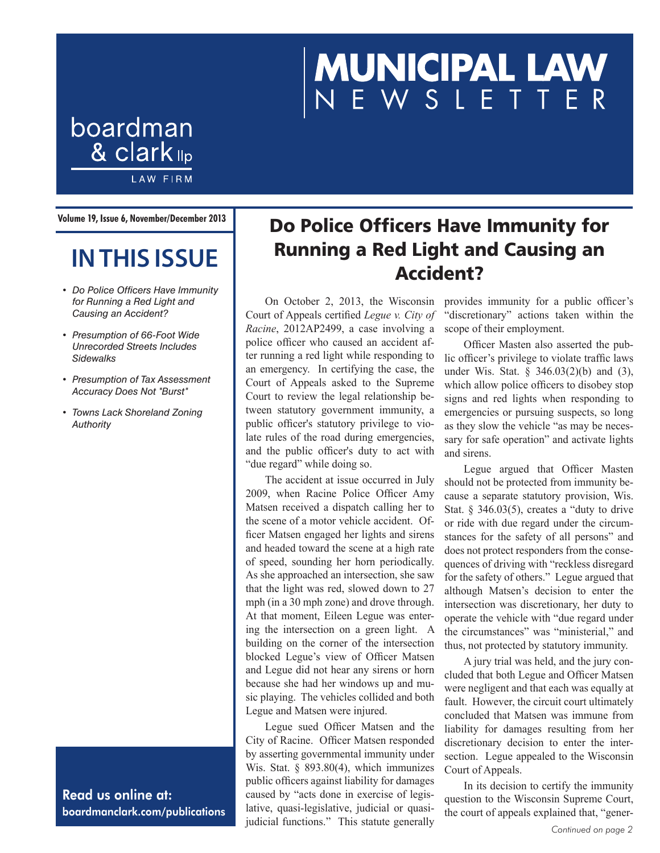# **MUNICIPAL LAW**<br>NEWSLETTER

**Volume 19, Issue 6, November/December 2013**

boardman

& clark <sub>llp</sub>

**LAW FIRM** 

# **IN THIS ISSUE**

- *• Do Police Officers Have Immunity for Running a Red Light and Causing an Accident?*
- *• Presumption of 66-Foot Wide Unrecorded Streets Includes Sidewalks*
- *• Presumption of Tax Assessment Accuracy Does Not "Burst"*
- *• Towns Lack Shoreland Zoning Authority*

Read us online at: boardmanclark.com/publications

## Do Police Officers Have Immunity for Running a Red Light and Causing an Accident?

On October 2, 2013, the Wisconsin Court of Appeals certified *Legue v. City of Racine*, 2012AP2499, a case involving a police officer who caused an accident after running a red light while responding to an emergency. In certifying the case, the Court of Appeals asked to the Supreme Court to review the legal relationship between statutory government immunity, a public officer's statutory privilege to violate rules of the road during emergencies, and the public officer's duty to act with "due regard" while doing so.

The accident at issue occurred in July 2009, when Racine Police Officer Amy Matsen received a dispatch calling her to the scene of a motor vehicle accident. Officer Matsen engaged her lights and sirens and headed toward the scene at a high rate of speed, sounding her horn periodically. As she approached an intersection, she saw that the light was red, slowed down to 27 mph (in a 30 mph zone) and drove through. At that moment, Eileen Legue was entering the intersection on a green light. A building on the corner of the intersection blocked Legue's view of Officer Matsen and Legue did not hear any sirens or horn because she had her windows up and music playing. The vehicles collided and both Legue and Matsen were injured.

Legue sued Officer Matsen and the City of Racine. Officer Matsen responded by asserting governmental immunity under Wis. Stat. § 893.80(4), which immunizes public officers against liability for damages caused by "acts done in exercise of legislative, quasi-legislative, judicial or quasijudicial functions." This statute generally *Continued on page 2*

provides immunity for a public officer's "discretionary" actions taken within the scope of their employment.

Officer Masten also asserted the public officer's privilege to violate traffic laws under Wis. Stat. § 346.03(2)(b) and (3), which allow police officers to disobey stop signs and red lights when responding to emergencies or pursuing suspects, so long as they slow the vehicle "as may be necessary for safe operation" and activate lights and sirens.

Legue argued that Officer Masten should not be protected from immunity because a separate statutory provision, Wis. Stat. § 346.03(5), creates a "duty to drive" or ride with due regard under the circumstances for the safety of all persons" and does not protect responders from the consequences of driving with "reckless disregard for the safety of others." Legue argued that although Matsen's decision to enter the intersection was discretionary, her duty to operate the vehicle with "due regard under the circumstances" was "ministerial," and thus, not protected by statutory immunity.

A jury trial was held, and the jury concluded that both Legue and Officer Matsen were negligent and that each was equally at fault. However, the circuit court ultimately concluded that Matsen was immune from liability for damages resulting from her discretionary decision to enter the intersection. Legue appealed to the Wisconsin Court of Appeals.

In its decision to certify the immunity question to the Wisconsin Supreme Court, the court of appeals explained that, "gener-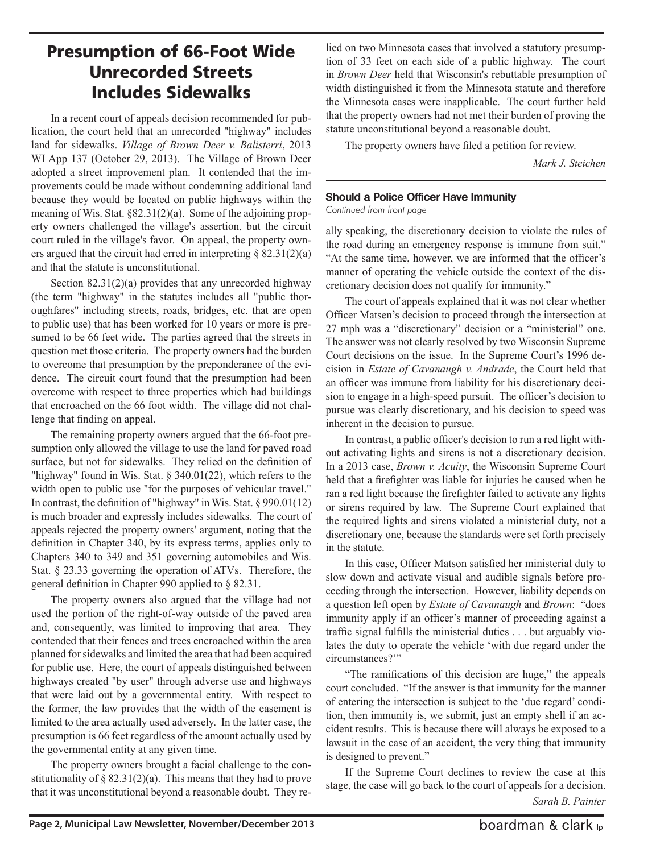## Presumption of 66-Foot Wide Unrecorded Streets Includes Sidewalks

In a recent court of appeals decision recommended for publication, the court held that an unrecorded "highway" includes land for sidewalks. *Village of Brown Deer v. Balisterri*, 2013 WI App 137 (October 29, 2013). The Village of Brown Deer adopted a street improvement plan. It contended that the improvements could be made without condemning additional land because they would be located on public highways within the meaning of Wis. Stat. §82.31(2)(a). Some of the adjoining property owners challenged the village's assertion, but the circuit court ruled in the village's favor. On appeal, the property owners argued that the circuit had erred in interpreting  $\S$  82.31(2)(a) and that the statute is unconstitutional.

Section 82.31(2)(a) provides that any unrecorded highway (the term "highway" in the statutes includes all "public thoroughfares" including streets, roads, bridges, etc. that are open to public use) that has been worked for 10 years or more is presumed to be 66 feet wide. The parties agreed that the streets in question met those criteria. The property owners had the burden to overcome that presumption by the preponderance of the evidence. The circuit court found that the presumption had been overcome with respect to three properties which had buildings that encroached on the 66 foot width. The village did not challenge that finding on appeal.

The remaining property owners argued that the 66-foot presumption only allowed the village to use the land for paved road surface, but not for sidewalks. They relied on the definition of "highway" found in Wis. Stat. § 340.01(22), which refers to the width open to public use "for the purposes of vehicular travel." In contrast, the definition of "highway" in Wis. Stat. § 990.01(12) is much broader and expressly includes sidewalks. The court of appeals rejected the property owners' argument, noting that the definition in Chapter 340, by its express terms, applies only to Chapters 340 to 349 and 351 governing automobiles and Wis. Stat. § 23.33 governing the operation of ATVs. Therefore, the general definition in Chapter 990 applied to § 82.31.

The property owners also argued that the village had not used the portion of the right-of-way outside of the paved area and, consequently, was limited to improving that area. They contended that their fences and trees encroached within the area planned for sidewalks and limited the area that had been acquired for public use. Here, the court of appeals distinguished between highways created "by user" through adverse use and highways that were laid out by a governmental entity. With respect to the former, the law provides that the width of the easement is limited to the area actually used adversely. In the latter case, the presumption is 66 feet regardless of the amount actually used by the governmental entity at any given time.

The property owners brought a facial challenge to the constitutionality of  $\S 82.31(2)(a)$ . This means that they had to prove that it was unconstitutional beyond a reasonable doubt. They relied on two Minnesota cases that involved a statutory presumption of 33 feet on each side of a public highway. The court in *Brown Deer* held that Wisconsin's rebuttable presumption of width distinguished it from the Minnesota statute and therefore the Minnesota cases were inapplicable. The court further held that the property owners had not met their burden of proving the statute unconstitutional beyond a reasonable doubt.

The property owners have filed a petition for review.

*— Mark J. Steichen*

#### **Should a Police Officer Have Immunity**

*Continued from front page*

ally speaking, the discretionary decision to violate the rules of the road during an emergency response is immune from suit." "At the same time, however, we are informed that the officer's manner of operating the vehicle outside the context of the discretionary decision does not qualify for immunity."

The court of appeals explained that it was not clear whether Officer Matsen's decision to proceed through the intersection at 27 mph was a "discretionary" decision or a "ministerial" one. The answer was not clearly resolved by two Wisconsin Supreme Court decisions on the issue. In the Supreme Court's 1996 decision in *Estate of Cavanaugh v. Andrade*, the Court held that an officer was immune from liability for his discretionary decision to engage in a high-speed pursuit. The officer's decision to pursue was clearly discretionary, and his decision to speed was inherent in the decision to pursue.

In contrast, a public officer's decision to run a red light without activating lights and sirens is not a discretionary decision. In a 2013 case, *Brown v. Acuity*, the Wisconsin Supreme Court held that a firefighter was liable for injuries he caused when he ran a red light because the firefighter failed to activate any lights or sirens required by law. The Supreme Court explained that the required lights and sirens violated a ministerial duty, not a discretionary one, because the standards were set forth precisely in the statute.

In this case, Officer Matson satisfied her ministerial duty to slow down and activate visual and audible signals before proceeding through the intersection. However, liability depends on a question left open by *Estate of Cavanaugh* and *Brown*: "does immunity apply if an officer's manner of proceeding against a traffic signal fulfills the ministerial duties . . . but arguably violates the duty to operate the vehicle 'with due regard under the circumstances?'"

"The ramifications of this decision are huge," the appeals court concluded. "If the answer is that immunity for the manner of entering the intersection is subject to the 'due regard' condition, then immunity is, we submit, just an empty shell if an accident results. This is because there will always be exposed to a lawsuit in the case of an accident, the very thing that immunity is designed to prevent."

If the Supreme Court declines to review the case at this stage, the case will go back to the court of appeals for a decision. *— Sarah B. Painter*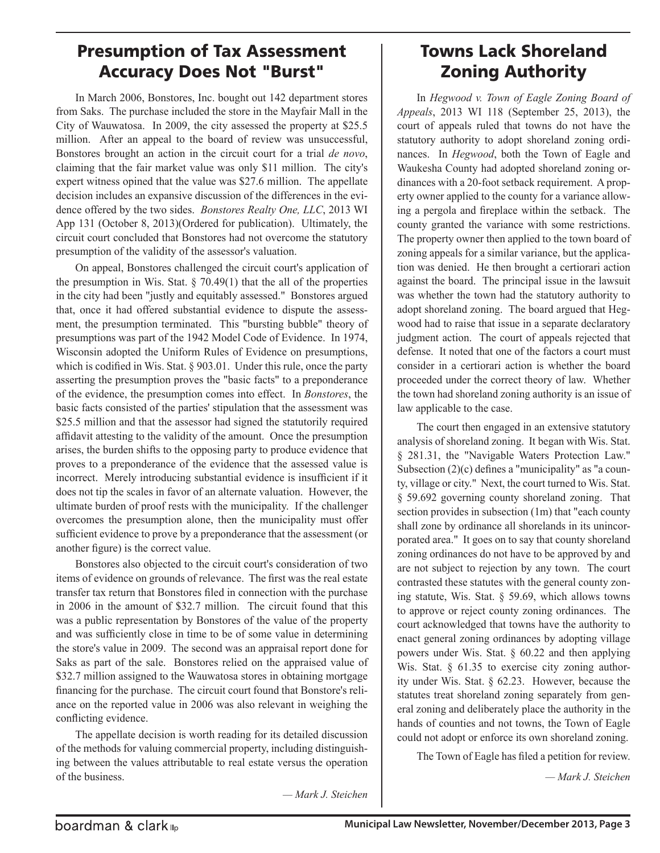### Presumption of Tax Assessment Accuracy Does Not "Burst"

In March 2006, Bonstores, Inc. bought out 142 department stores from Saks. The purchase included the store in the Mayfair Mall in the City of Wauwatosa. In 2009, the city assessed the property at \$25.5 million. After an appeal to the board of review was unsuccessful, Bonstores brought an action in the circuit court for a trial *de novo*, claiming that the fair market value was only \$11 million. The city's expert witness opined that the value was \$27.6 million. The appellate decision includes an expansive discussion of the differences in the evidence offered by the two sides. *Bonstores Realty One, LLC*, 2013 WI App 131 (October 8, 2013)(Ordered for publication). Ultimately, the circuit court concluded that Bonstores had not overcome the statutory presumption of the validity of the assessor's valuation.

On appeal, Bonstores challenged the circuit court's application of the presumption in Wis. Stat.  $\S$  70.49(1) that the all of the properties in the city had been "justly and equitably assessed." Bonstores argued that, once it had offered substantial evidence to dispute the assessment, the presumption terminated. This "bursting bubble" theory of presumptions was part of the 1942 Model Code of Evidence. In 1974, Wisconsin adopted the Uniform Rules of Evidence on presumptions, which is codified in Wis. Stat. § 903.01. Under this rule, once the party asserting the presumption proves the "basic facts" to a preponderance of the evidence, the presumption comes into effect. In *Bonstores*, the basic facts consisted of the parties' stipulation that the assessment was \$25.5 million and that the assessor had signed the statutorily required affidavit attesting to the validity of the amount. Once the presumption arises, the burden shifts to the opposing party to produce evidence that proves to a preponderance of the evidence that the assessed value is incorrect. Merely introducing substantial evidence is insufficient if it does not tip the scales in favor of an alternate valuation. However, the ultimate burden of proof rests with the municipality. If the challenger overcomes the presumption alone, then the municipality must offer sufficient evidence to prove by a preponderance that the assessment (or another figure) is the correct value.

Bonstores also objected to the circuit court's consideration of two items of evidence on grounds of relevance. The first was the real estate transfer tax return that Bonstores filed in connection with the purchase in 2006 in the amount of \$32.7 million. The circuit found that this was a public representation by Bonstores of the value of the property and was sufficiently close in time to be of some value in determining the store's value in 2009. The second was an appraisal report done for Saks as part of the sale. Bonstores relied on the appraised value of \$32.7 million assigned to the Wauwatosa stores in obtaining mortgage financing for the purchase. The circuit court found that Bonstore's reliance on the reported value in 2006 was also relevant in weighing the conflicting evidence.

The appellate decision is worth reading for its detailed discussion of the methods for valuing commercial property, including distinguishing between the values attributable to real estate versus the operation of the business.

## Towns Lack Shoreland Zoning Authority

In *Hegwood v. Town of Eagle Zoning Board of Appeals*, 2013 WI 118 (September 25, 2013), the court of appeals ruled that towns do not have the statutory authority to adopt shoreland zoning ordinances. In *Hegwood*, both the Town of Eagle and Waukesha County had adopted shoreland zoning ordinances with a 20-foot setback requirement. A property owner applied to the county for a variance allowing a pergola and fireplace within the setback. The county granted the variance with some restrictions. The property owner then applied to the town board of zoning appeals for a similar variance, but the application was denied. He then brought a certiorari action against the board. The principal issue in the lawsuit was whether the town had the statutory authority to adopt shoreland zoning. The board argued that Hegwood had to raise that issue in a separate declaratory judgment action. The court of appeals rejected that defense. It noted that one of the factors a court must consider in a certiorari action is whether the board proceeded under the correct theory of law. Whether the town had shoreland zoning authority is an issue of law applicable to the case.

The court then engaged in an extensive statutory analysis of shoreland zoning. It began with Wis. Stat. § 281.31, the "Navigable Waters Protection Law." Subsection (2)(c) defines a "municipality" as "a county, village or city." Next, the court turned to Wis. Stat. § 59.692 governing county shoreland zoning. That section provides in subsection (1m) that "each county shall zone by ordinance all shorelands in its unincorporated area." It goes on to say that county shoreland zoning ordinances do not have to be approved by and are not subject to rejection by any town. The court contrasted these statutes with the general county zoning statute, Wis. Stat. § 59.69, which allows towns to approve or reject county zoning ordinances. The court acknowledged that towns have the authority to enact general zoning ordinances by adopting village powers under Wis. Stat. § 60.22 and then applying Wis. Stat. § 61.35 to exercise city zoning authority under Wis. Stat. § 62.23. However, because the statutes treat shoreland zoning separately from general zoning and deliberately place the authority in the hands of counties and not towns, the Town of Eagle could not adopt or enforce its own shoreland zoning.

The Town of Eagle has filed a petition for review.

*— Mark J. Steichen*

*— Mark J. Steichen*